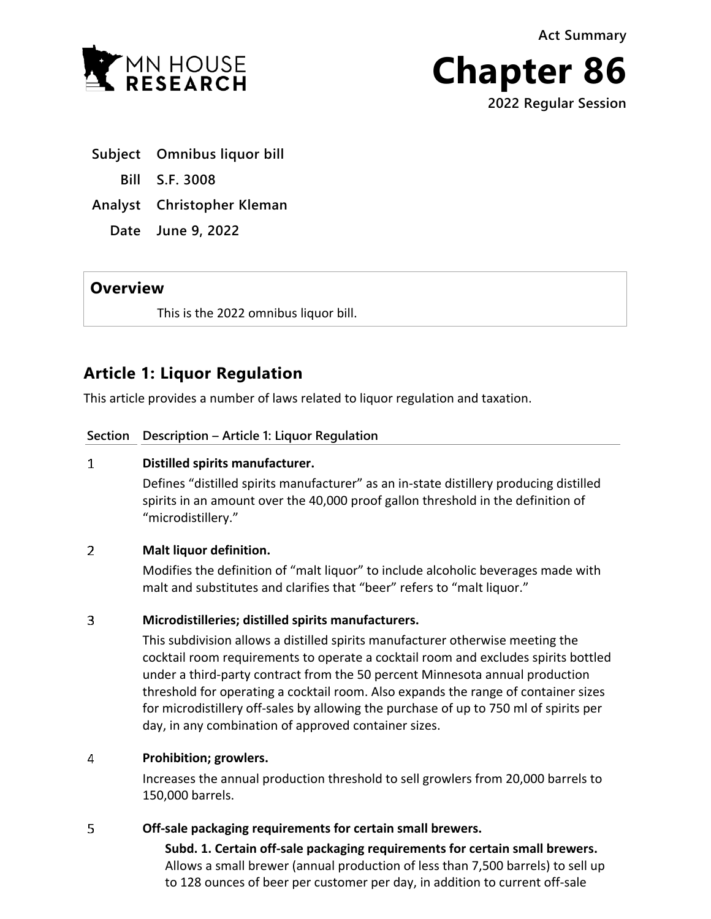**Act Summary**



**Chapter 86 2022 Regular Session**

- **Subject Omnibus liquor bill**
	- **Bill S.F. 3008**
- **Analyst Christopher Kleman**
	- **Date June 9, 2022**

# **Overview**

This is the 2022 omnibus liquor bill.

# **Article 1: Liquor Regulation**

This article provides a number of laws related to liquor regulation and taxation.

# **Section Description – Article 1: Liquor Regulation**

## $\mathbf{1}$ **Distilled spirits manufacturer.**

Defines "distilled spirits manufacturer" as an in-state distillery producing distilled spirits in an amount over the 40,000 proof gallon threshold in the definition of "microdistillery."

## $2<sup>1</sup>$ **Malt liquor definition.**

Modifies the definition of "malt liquor" to include alcoholic beverages made with malt and substitutes and clarifies that "beer" refers to "malt liquor."

## $\overline{3}$ **Microdistilleries; distilled spirits manufacturers.**

This subdivision allows a distilled spirits manufacturer otherwise meeting the cocktail room requirements to operate a cocktail room and excludes spirits bottled under a third-party contract from the 50 percent Minnesota annual production threshold for operating a cocktail room. Also expands the range of container sizes for microdistillery off-sales by allowing the purchase of up to 750 ml of spirits per day, in any combination of approved container sizes.

## 4 **Prohibition; growlers.**

Increases the annual production threshold to sell growlers from 20,000 barrels to 150,000 barrels.

## 5 **Off-sale packaging requirements for certain small brewers.**

**Subd. 1. Certain off-sale packaging requirements for certain small brewers.** Allows a small brewer (annual production of less than 7,500 barrels) to sell up to 128 ounces of beer per customer per day, in addition to current off-sale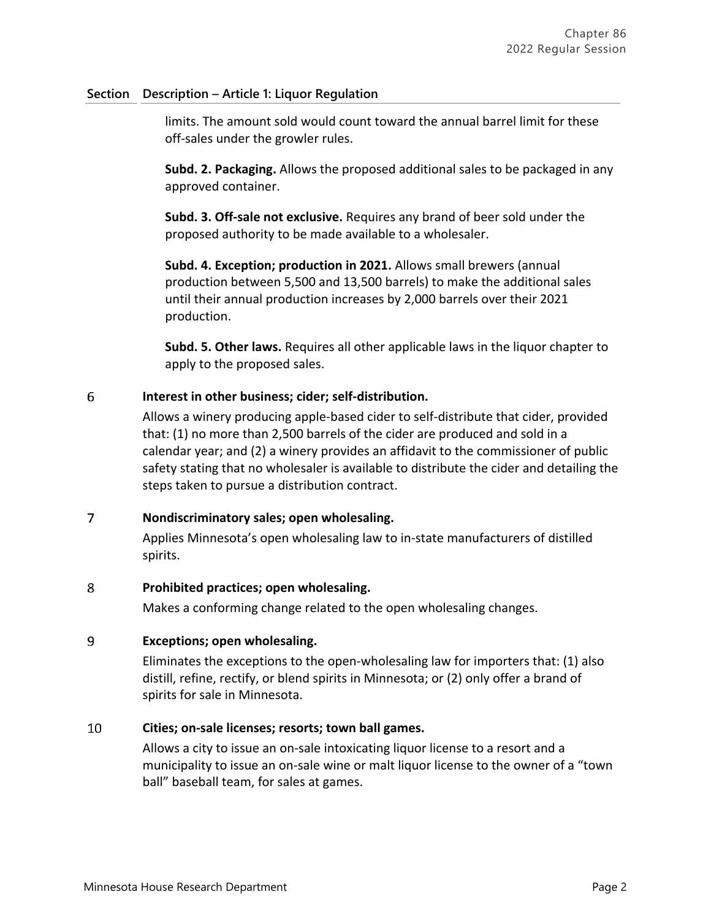# **Section Description – Article 1: Liquor Regulation**

limits. The amount sold would count toward the annual barrel limit for these off-sales under the growler rules.

**Subd. 2. Packaging.** Allows the proposed additional sales to be packaged in any approved container.

**Subd. 3. Off-sale not exclusive.** Requires any brand of beer sold under the proposed authority to be made available to a wholesaler.

**Subd. 4. Exception; production in 2021.** Allows small brewers (annual production between 5,500 and 13,500 barrels) to make the additional sales until their annual production increases by 2,000 barrels over their 2021 production.

**Subd. 5. Other laws.** Requires all other applicable laws in the liquor chapter to apply to the proposed sales.

#### 6 **Interest in other business; cider; self-distribution.**

Allows a winery producing apple-based cider to self-distribute that cider, provided that: (1) no more than 2,500 barrels of the cider are produced and sold in a calendar year; and (2) a winery provides an affidavit to the commissioner of public safety stating that no wholesaler is available to distribute the cider and detailing the steps taken to pursue a distribution contract.

#### $\overline{7}$ **Nondiscriminatory sales; open wholesaling.**

Applies Minnesota's open wholesaling law to in-state manufacturers of distilled spirits.

#### 8 **Prohibited practices; open wholesaling.**

Makes a conforming change related to the open wholesaling changes.

#### $\mathbf{q}$ **Exceptions; open wholesaling.**

Eliminates the exceptions to the open-wholesaling law for importers that: (1) also distill, refine, rectify, or blend spirits in Minnesota; or (2) only offer a brand of spirits for sale in Minnesota.

#### 10 **Cities; on-sale licenses; resorts; town ball games.**

Allows a city to issue an on-sale intoxicating liquor license to a resort and a municipality to issue an on-sale wine or malt liquor license to the owner of a "town ball" baseball team, for sales at games.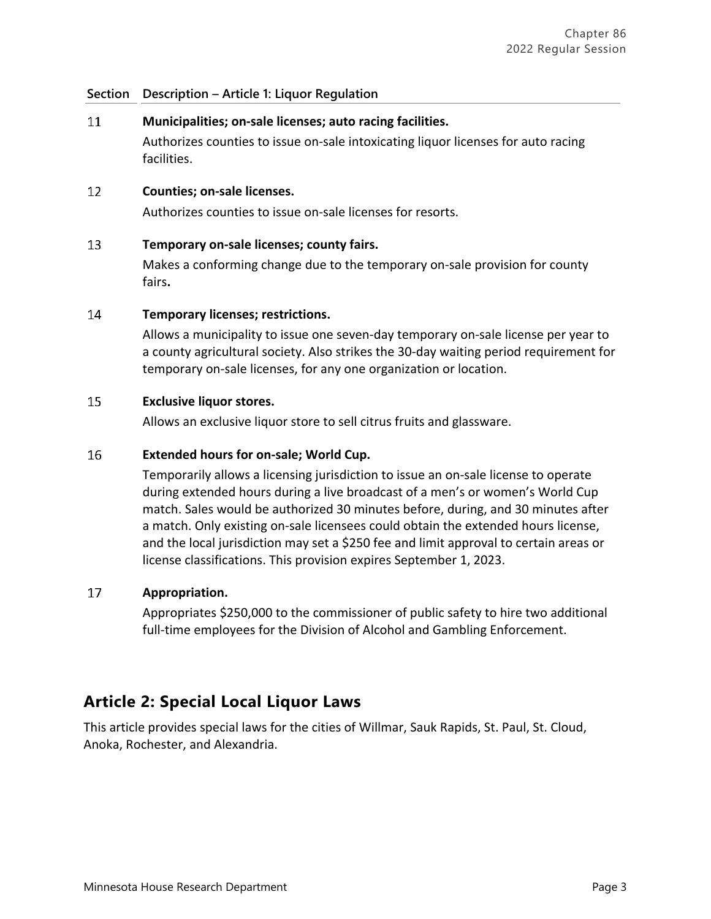## **Section Description – Article 1: Liquor Regulation**

#### 11 **Municipalities; on-sale licenses; auto racing facilities.**

Authorizes counties to issue on-sale intoxicating liquor licenses for auto racing facilities.

#### $12$ **Counties; on-sale licenses.**

Authorizes counties to issue on-sale licenses for resorts.

#### 13 **Temporary on-sale licenses; county fairs.**

Makes a conforming change due to the temporary on-sale provision for county fairs**.**

#### 14 **Temporary licenses; restrictions.**

Allows a municipality to issue one seven-day temporary on-sale license per year to a county agricultural society. Also strikes the 30-day waiting period requirement for temporary on-sale licenses, for any one organization or location.

#### 15 **Exclusive liquor stores.**

Allows an exclusive liquor store to sell citrus fruits and glassware.

#### 16 **Extended hours for on-sale; World Cup.**

Temporarily allows a licensing jurisdiction to issue an on-sale license to operate during extended hours during a live broadcast of a men's or women's World Cup match. Sales would be authorized 30 minutes before, during, and 30 minutes after a match. Only existing on-sale licensees could obtain the extended hours license, and the local jurisdiction may set a \$250 fee and limit approval to certain areas or license classifications. This provision expires September 1, 2023.

#### 17 **Appropriation.**

Appropriates \$250,000 to the commissioner of public safety to hire two additional full-time employees for the Division of Alcohol and Gambling Enforcement.

# **Article 2: Special Local Liquor Laws**

This article provides special laws for the cities of Willmar, Sauk Rapids, St. Paul, St. Cloud, Anoka, Rochester, and Alexandria.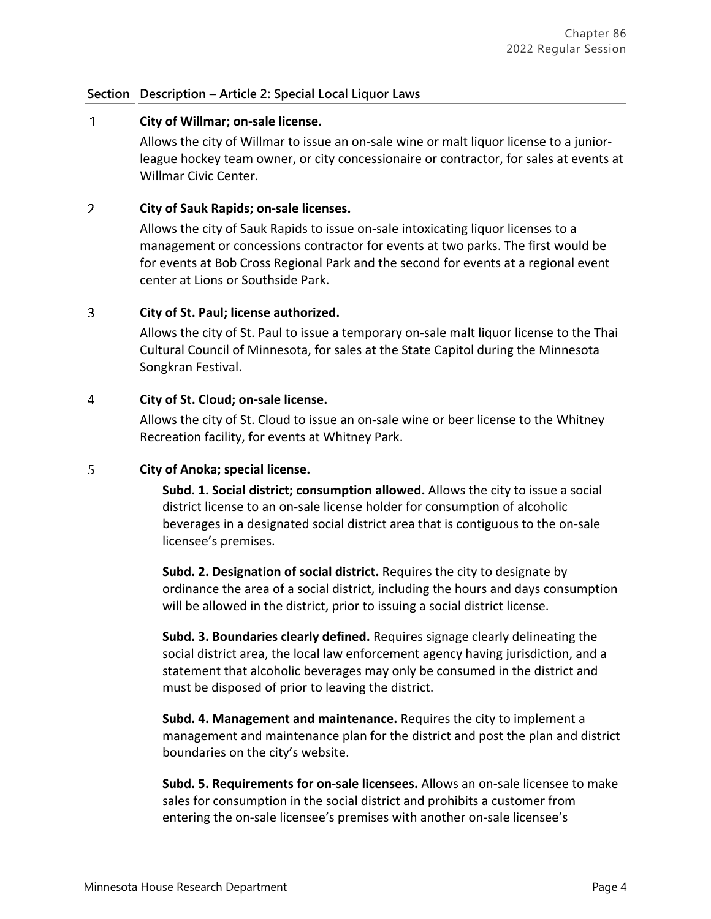## **Section Description – Article 2: Special Local Liquor Laws**

#### $\mathbf{1}$ **City of Willmar; on-sale license.**

Allows the city of Willmar to issue an on-sale wine or malt liquor license to a juniorleague hockey team owner, or city concessionaire or contractor, for sales at events at Willmar Civic Center.

#### $2<sup>1</sup>$ **City of Sauk Rapids; on-sale licenses.**

Allows the city of Sauk Rapids to issue on-sale intoxicating liquor licenses to a management or concessions contractor for events at two parks. The first would be for events at Bob Cross Regional Park and the second for events at a regional event center at Lions or Southside Park.

#### $\overline{3}$ **City of St. Paul; license authorized.**

Allows the city of St. Paul to issue a temporary on-sale malt liquor license to the Thai Cultural Council of Minnesota, for sales at the State Capitol during the Minnesota Songkran Festival.

#### 4 **City of St. Cloud; on-sale license.**

Allows the city of St. Cloud to issue an on-sale wine or beer license to the Whitney Recreation facility, for events at Whitney Park.

#### 5 **City of Anoka; special license.**

**Subd. 1. Social district; consumption allowed.** Allows the city to issue a social district license to an on-sale license holder for consumption of alcoholic beverages in a designated social district area that is contiguous to the on-sale licensee's premises.

**Subd. 2. Designation of social district.** Requires the city to designate by ordinance the area of a social district, including the hours and days consumption will be allowed in the district, prior to issuing a social district license.

**Subd. 3. Boundaries clearly defined.** Requires signage clearly delineating the social district area, the local law enforcement agency having jurisdiction, and a statement that alcoholic beverages may only be consumed in the district and must be disposed of prior to leaving the district.

**Subd. 4. Management and maintenance.** Requires the city to implement a management and maintenance plan for the district and post the plan and district boundaries on the city's website.

**Subd. 5. Requirements for on-sale licensees.** Allows an on-sale licensee to make sales for consumption in the social district and prohibits a customer from entering the on-sale licensee's premises with another on-sale licensee's